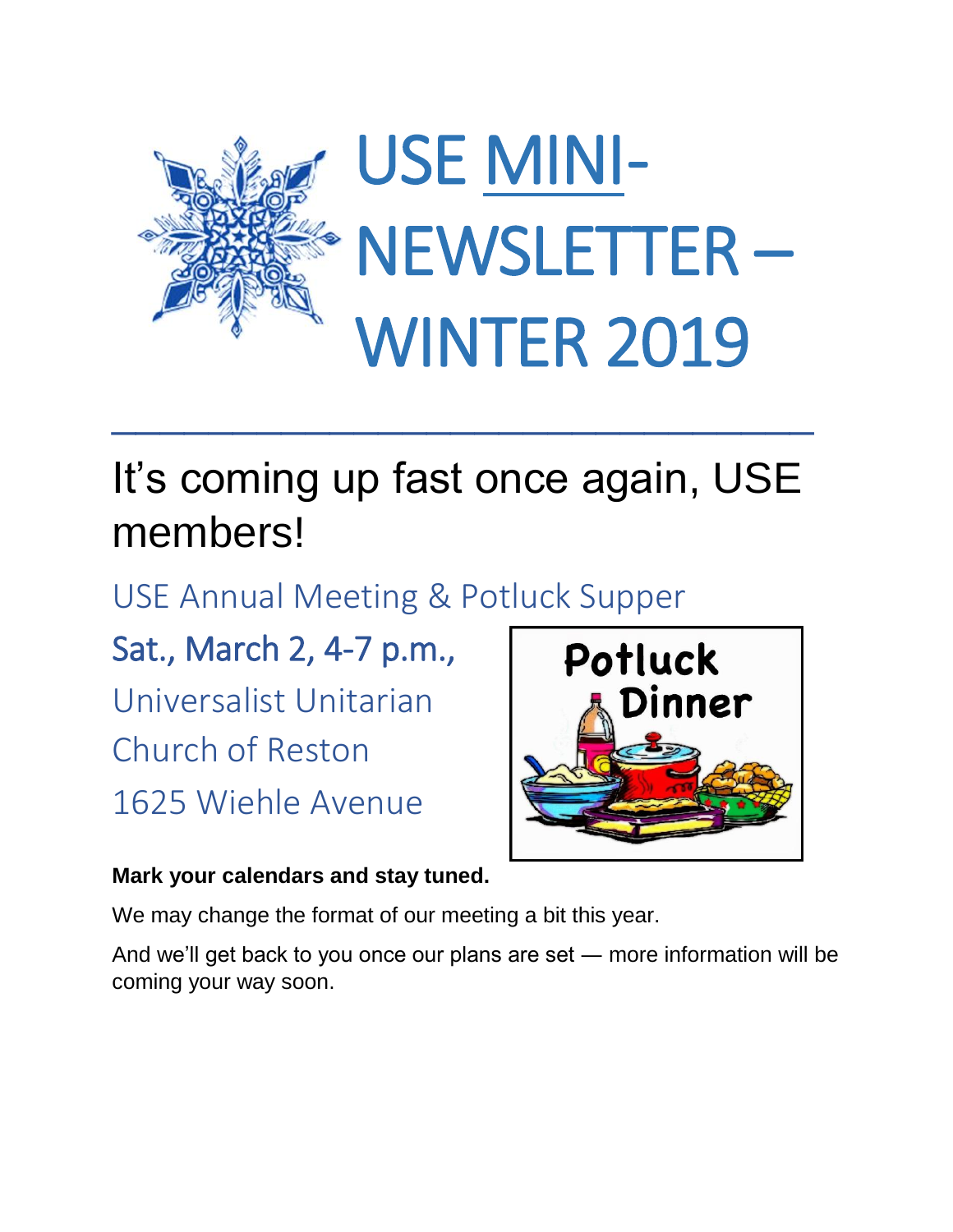

## It's coming up fast once again, USE members!

USE Annual Meeting & Potluck Supper

Sat., March 2, 4-7 p.m., Universalist Unitarian Church of Reston 1625 Wiehle Avenue



## **Mark your calendars and stay tuned.**

We may change the format of our meeting a bit this year.

And we'll get back to you once our plans are set ― more information will be coming your way soon.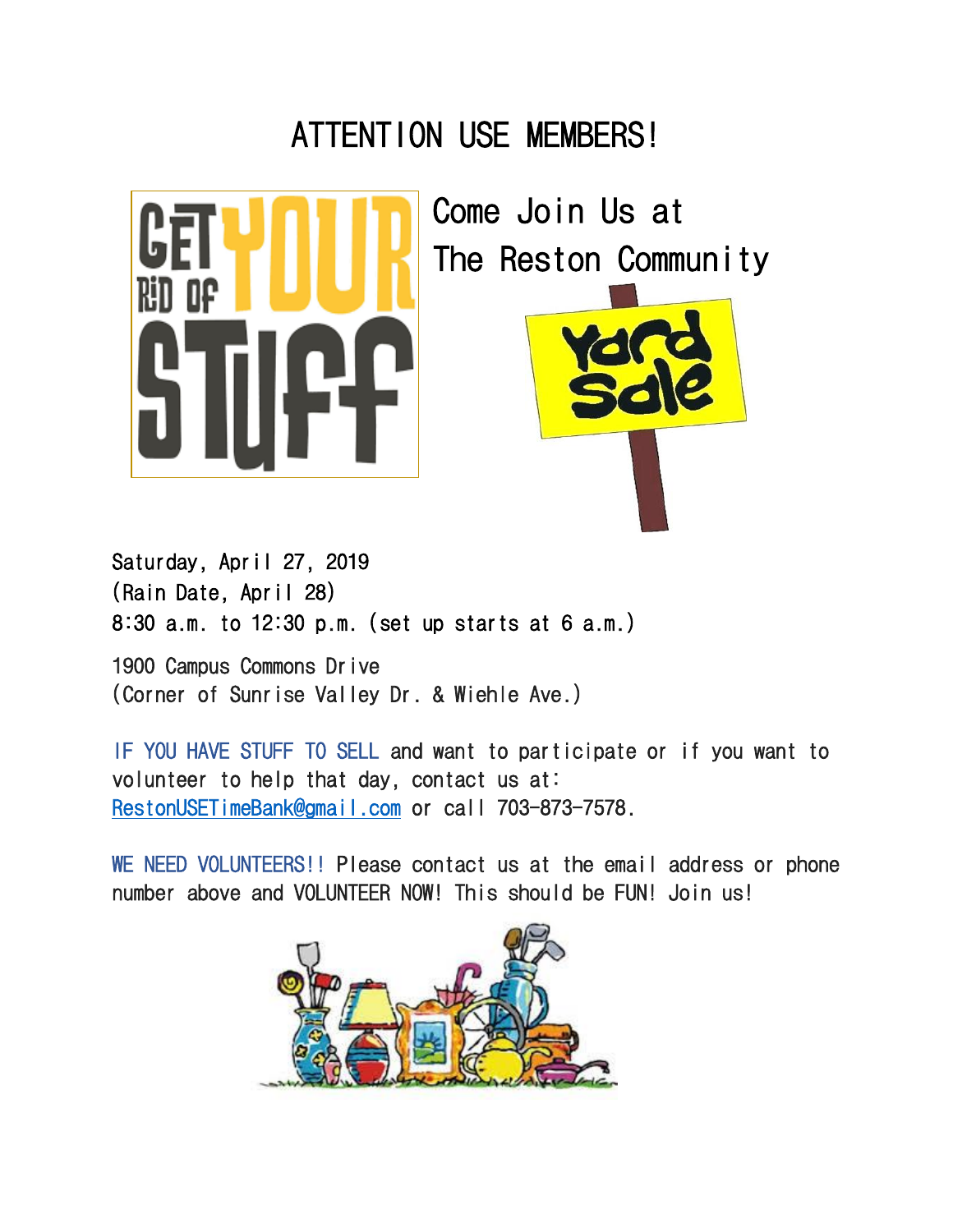## ATTENTION USE MEMBERS!



Come Join Us at The Reston Community



Saturday, April 27, 2019 (Rain Date, April 28) 8:30 a.m. to 12:30 p.m. (set up starts at 6 a.m.)

1900 Campus Commons Drive (Corner of Sunrise Valley Dr. & Wiehle Ave.)

IF YOU HAVE STUFF TO SELL and want to participate or if you want to volunteer to help that day, contact us at: [RestonUSETimeBank@gmail.com](mailto:RestonUSETimeBank@gmail.com) or call 703-873-7578.

WE NEED VOLUNTEERS!! Please contact us at the email address or phone number above and VOLUNTEER NOW! This should be FUN! Join us!

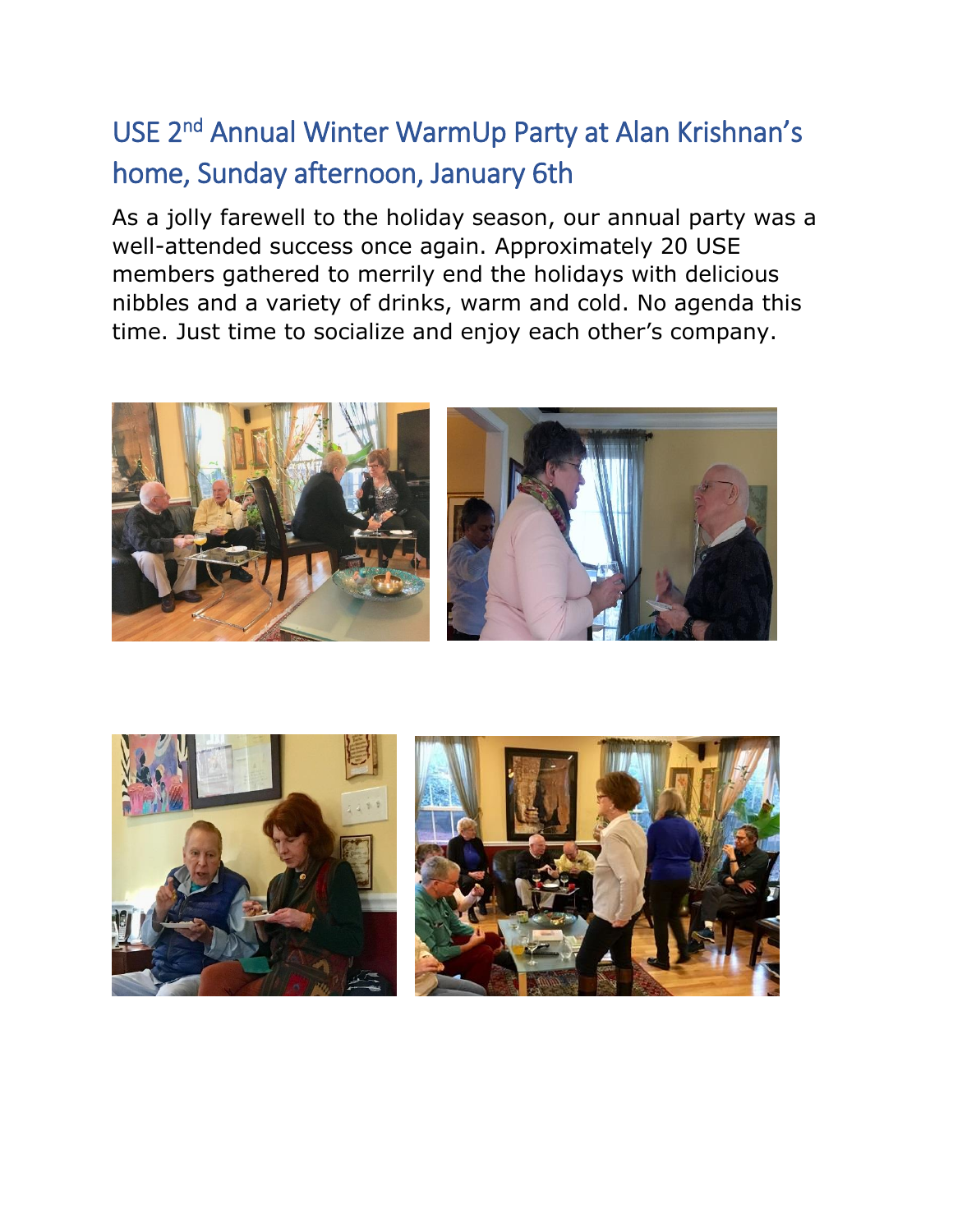## USE 2<sup>nd</sup> Annual Winter WarmUp Party at Alan Krishnan's home, Sunday afternoon, January 6th

As a jolly farewell to the holiday season, our annual party was a well-attended success once again. Approximately 20 USE members gathered to merrily end the holidays with delicious nibbles and a variety of drinks, warm and cold. No agenda this time. Just time to socialize and enjoy each other's company.